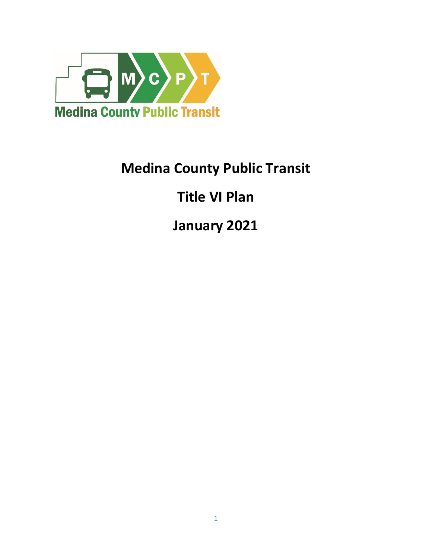

# **Medina County Public Transit**

# **Title VI Plan**

**January 2021**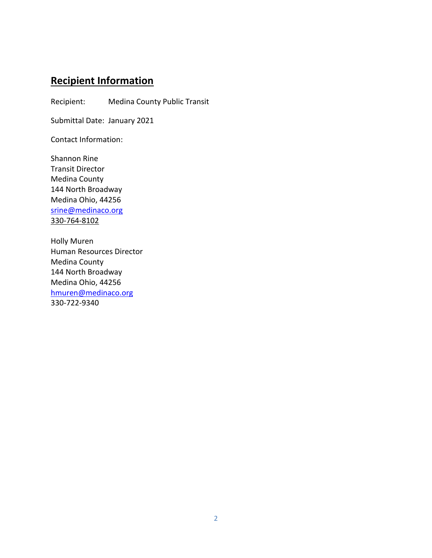# **Recipient Information**

Recipient: Medina County Public Transit

Submittal Date: January 2021

Contact Information:

Shannon Rine Transit Director Medina County 144 North Broadway Medina Ohio, 44256 srine@medinaco.org 330-764-8102

Holly Muren Human Resources Director Medina County 144 North Broadway Medina Ohio, 44256 [hmuren@medinaco.org](mailto:hmuren@medinaco.org) 330-722-9340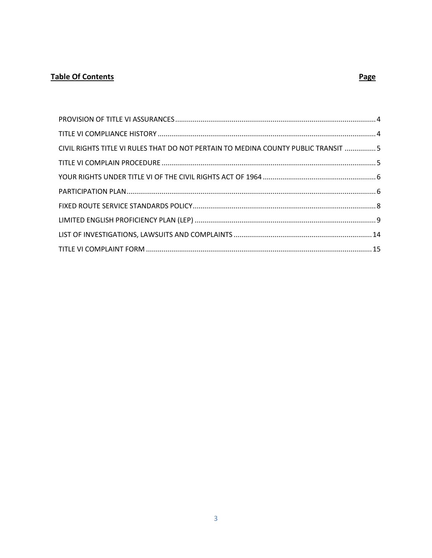#### **Table Of Contents**

#### Page

| CIVIL RIGHTS TITLE VI RULES THAT DO NOT PERTAIN TO MEDINA COUNTY PUBLIC TRANSIT  5 |  |
|------------------------------------------------------------------------------------|--|
|                                                                                    |  |
|                                                                                    |  |
|                                                                                    |  |
|                                                                                    |  |
|                                                                                    |  |
|                                                                                    |  |
|                                                                                    |  |
|                                                                                    |  |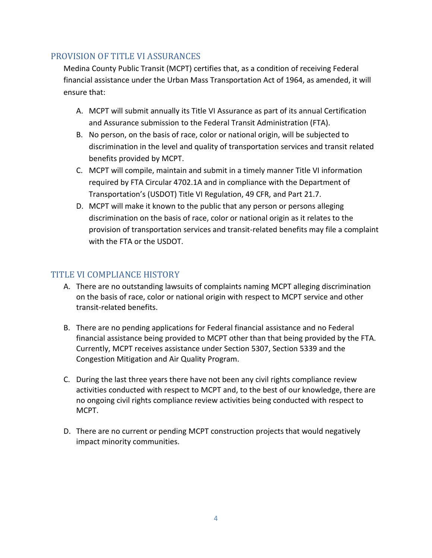# <span id="page-3-0"></span>PROVISION OF TITLE VI ASSURANCES

Medina County Public Transit (MCPT) certifies that, as a condition of receiving Federal financial assistance under the Urban Mass Transportation Act of 1964, as amended, it will ensure that:

- A. MCPT will submit annually its Title VI Assurance as part of its annual Certification and Assurance submission to the Federal Transit Administration (FTA).
- B. No person, on the basis of race, color or national origin, will be subjected to discrimination in the level and quality of transportation services and transit related benefits provided by MCPT.
- C. MCPT will compile, maintain and submit in a timely manner Title VI information required by FTA Circular 4702.1A and in compliance with the Department of Transportation's (USDOT) Title VI Regulation, 49 CFR, and Part 21.7.
- D. MCPT will make it known to the public that any person or persons alleging discrimination on the basis of race, color or national origin as it relates to the provision of transportation services and transit-related benefits may file a complaint with the FTA or the USDOT.

# <span id="page-3-1"></span>TITLE VI COMPLIANCE HISTORY

- A. There are no outstanding lawsuits of complaints naming MCPT alleging discrimination on the basis of race, color or national origin with respect to MCPT service and other transit-related benefits.
- B. There are no pending applications for Federal financial assistance and no Federal financial assistance being provided to MCPT other than that being provided by the FTA. Currently, MCPT receives assistance under Section 5307, Section 5339 and the Congestion Mitigation and Air Quality Program.
- C. During the last three years there have not been any civil rights compliance review activities conducted with respect to MCPT and, to the best of our knowledge, there are no ongoing civil rights compliance review activities being conducted with respect to MCPT.
- D. There are no current or pending MCPT construction projects that would negatively impact minority communities.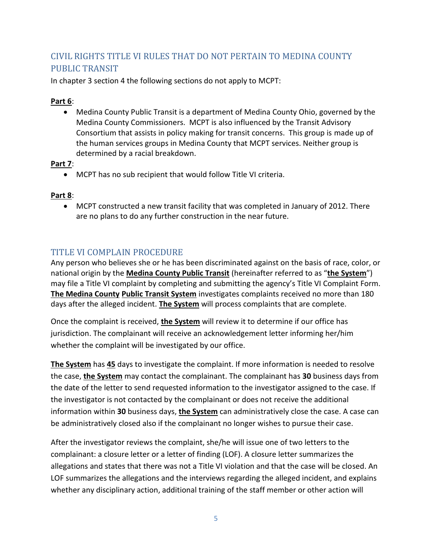# <span id="page-4-0"></span>CIVIL RIGHTS TITLE VI RULES THAT DO NOT PERTAIN TO MEDINA COUNTY PUBLIC TRANSIT

In chapter 3 section 4 the following sections do not apply to MCPT:

#### **Part 6**:

 Medina County Public Transit is a department of Medina County Ohio, governed by the Medina County Commissioners. MCPT is also influenced by the Transit Advisory Consortium that assists in policy making for transit concerns. This group is made up of the human services groups in Medina County that MCPT services. Neither group is determined by a racial breakdown.

#### **Part 7**:

MCPT has no sub recipient that would follow Title VI criteria.

#### **Part 8**:

 MCPT constructed a new transit facility that was completed in January of 2012. There are no plans to do any further construction in the near future.

# <span id="page-4-1"></span>TITLE VI COMPLAIN PROCEDURE

Any person who believes she or he has been discriminated against on the basis of race, color, or national origin by the **Medina County Public Transit** (hereinafter referred to as "**the System**") may file a Title VI complaint by completing and submitting the agency's Title VI Complaint Form. **The Medina County Public Transit System** investigates complaints received no more than 180 days after the alleged incident. **The System** will process complaints that are complete.

Once the complaint is received, **the System** will review it to determine if our office has jurisdiction. The complainant will receive an acknowledgement letter informing her/him whether the complaint will be investigated by our office.

**The System** has **45** days to investigate the complaint. If more information is needed to resolve the case, **the System** may contact the complainant. The complainant has **30** business days from the date of the letter to send requested information to the investigator assigned to the case. If the investigator is not contacted by the complainant or does not receive the additional information within **30** business days, **the System** can administratively close the case. A case can be administratively closed also if the complainant no longer wishes to pursue their case.

After the investigator reviews the complaint, she/he will issue one of two letters to the complainant: a closure letter or a letter of finding (LOF). A closure letter summarizes the allegations and states that there was not a Title VI violation and that the case will be closed. An LOF summarizes the allegations and the interviews regarding the alleged incident, and explains whether any disciplinary action, additional training of the staff member or other action will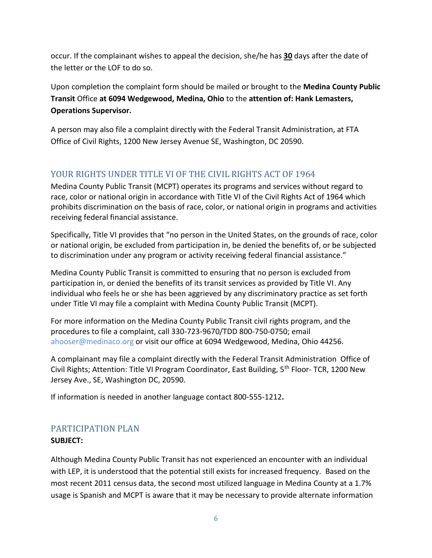occur. If the complainant wishes to appeal the decision, she/he has **30** days after the date of the letter or the LOF to do so.

Upon completion the complaint form should be mailed or brought to the **Medina County Public Transit** Office **at 6094 Wedgewood, Medina, Ohio** to the **attention of: Hank Lemasters, Operations Supervisor.**

A person may also file a complaint directly with the Federal Transit Administration, at FTA Office of Civil Rights, 1200 New Jersey Avenue SE, Washington, DC 20590.

# <span id="page-5-0"></span>YOUR RIGHTS UNDER TITLE VI OF THE CIVIL RIGHTS ACT OF 1964

Medina County Public Transit (MCPT) operates its programs and services without regard to race, color or national origin in accordance with Title VI of the Civil Rights Act of 1964 which prohibits discrimination on the basis of race, color, or national origin in programs and activities receiving federal financial assistance.

Specifically, Title VI provides that "no person in the United States, on the grounds of race, color or national origin, be excluded from participation in, be denied the benefits of, or be subjected to discrimination under any program or activity receiving federal financial assistance."

Medina County Public Transit is committed to ensuring that no person is excluded from participation in, or denied the benefits of its transit services as provided by Title VI. Any individual who feels he or she has been aggrieved by any discriminatory practice as set forth under Title VI may file a complaint with Medina County Public Transit (MCPT).

For more information on the Medina County Public Transit civil rights program, and the procedures to file a complaint, call 330-723-9670/TDD 800-750-0750; email ahooser@medinaco.org or visit our office at 6094 Wedgewood, Medina, Ohio 44256.

A complainant may file a complaint directly with the Federal Transit Administration Office of Civil Rights; Attention: Title VI Program Coordinator, East Building, 5th Floor- TCR, 1200 New Jersey Ave., SE, Washington DC, 20590.

If information is needed in another language contact 800-555-1212**.**

# <span id="page-5-1"></span>PARTICIPATION PLAN

#### **SUBJECT:**

Although Medina County Public Transit has not experienced an encounter with an individual with LEP, it is understood that the potential still exists for increased frequency. Based on the most recent 2011 census data, the second most utilized language in Medina County at a 1.7% usage is Spanish and MCPT is aware that it may be necessary to provide alternate information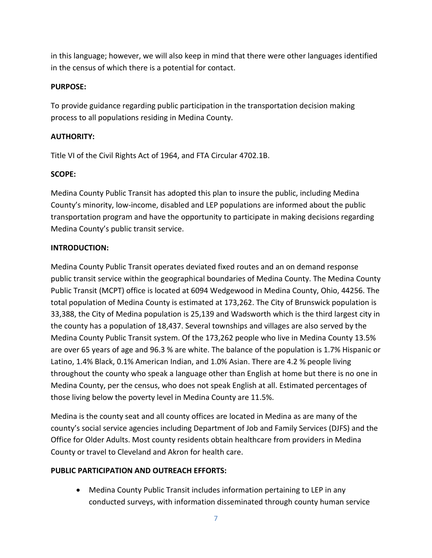in this language; however, we will also keep in mind that there were other languages identified in the census of which there is a potential for contact.

#### **PURPOSE:**

To provide guidance regarding public participation in the transportation decision making process to all populations residing in Medina County.

#### **AUTHORITY:**

Title VI of the Civil Rights Act of 1964, and FTA Circular 4702.1B.

#### **SCOPE:**

Medina County Public Transit has adopted this plan to insure the public, including Medina County's minority, low-income, disabled and LEP populations are informed about the public transportation program and have the opportunity to participate in making decisions regarding Medina County's public transit service.

#### **INTRODUCTION:**

Medina County Public Transit operates deviated fixed routes and an on demand response public transit service within the geographical boundaries of Medina County. The Medina County Public Transit (MCPT) office is located at 6094 Wedgewood in Medina County, Ohio, 44256. The total population of Medina County is estimated at 173,262. The City of Brunswick population is 33,388, the City of Medina population is 25,139 and Wadsworth which is the third largest city in the county has a population of 18,437. Several townships and villages are also served by the Medina County Public Transit system. Of the 173,262 people who live in Medina County 13.5% are over 65 years of age and 96.3 % are white. The balance of the population is 1.7% Hispanic or Latino, 1.4% Black, 0.1% American Indian, and 1.0% Asian. There are 4.2 % people living throughout the county who speak a language other than English at home but there is no one in Medina County, per the census, who does not speak English at all. Estimated percentages of those living below the poverty level in Medina County are 11.5%.

Medina is the county seat and all county offices are located in Medina as are many of the county's social service agencies including Department of Job and Family Services (DJFS) and the Office for Older Adults. Most county residents obtain healthcare from providers in Medina County or travel to Cleveland and Akron for health care.

#### **PUBLIC PARTICIPATION AND OUTREACH EFFORTS:**

 Medina County Public Transit includes information pertaining to LEP in any conducted surveys, with information disseminated through county human service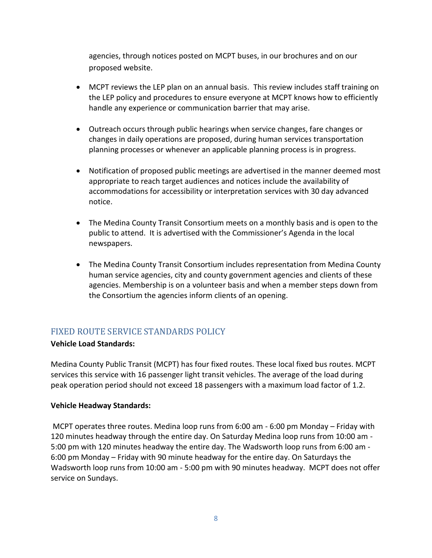agencies, through notices posted on MCPT buses, in our brochures and on our proposed website.

- MCPT reviews the LEP plan on an annual basis. This review includes staff training on the LEP policy and procedures to ensure everyone at MCPT knows how to efficiently handle any experience or communication barrier that may arise.
- Outreach occurs through public hearings when service changes, fare changes or changes in daily operations are proposed, during human services transportation planning processes or whenever an applicable planning process is in progress.
- Notification of proposed public meetings are advertised in the manner deemed most appropriate to reach target audiences and notices include the availability of accommodations for accessibility or interpretation services with 30 day advanced notice.
- The Medina County Transit Consortium meets on a monthly basis and is open to the public to attend. It is advertised with the Commissioner's Agenda in the local newspapers.
- The Medina County Transit Consortium includes representation from Medina County human service agencies, city and county government agencies and clients of these agencies. Membership is on a volunteer basis and when a member steps down from the Consortium the agencies inform clients of an opening.

# <span id="page-7-0"></span>FIXED ROUTE SERVICE STANDARDS POLICY

#### **Vehicle Load Standards:**

Medina County Public Transit (MCPT) has four fixed routes. These local fixed bus routes. MCPT services this service with 16 passenger light transit vehicles. The average of the load during peak operation period should not exceed 18 passengers with a maximum load factor of 1.2.

#### **Vehicle Headway Standards:**

MCPT operates three routes. Medina loop runs from 6:00 am - 6:00 pm Monday – Friday with 120 minutes headway through the entire day. On Saturday Medina loop runs from 10:00 am - 5:00 pm with 120 minutes headway the entire day. The Wadsworth loop runs from 6:00 am - 6:00 pm Monday – Friday with 90 minute headway for the entire day. On Saturdays the Wadsworth loop runs from 10:00 am - 5:00 pm with 90 minutes headway. MCPT does not offer service on Sundays.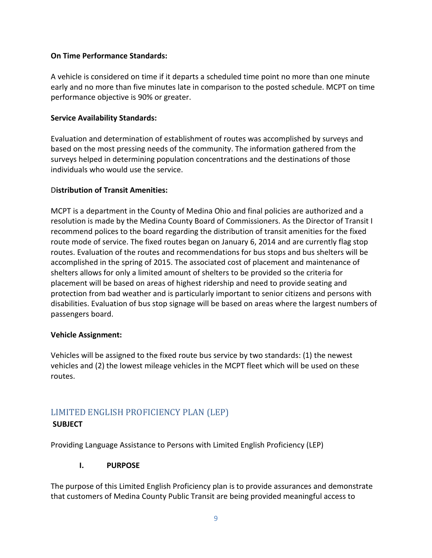#### **On Time Performance Standards:**

A vehicle is considered on time if it departs a scheduled time point no more than one minute early and no more than five minutes late in comparison to the posted schedule. MCPT on time performance objective is 90% or greater.

#### **Service Availability Standards:**

Evaluation and determination of establishment of routes was accomplished by surveys and based on the most pressing needs of the community. The information gathered from the surveys helped in determining population concentrations and the destinations of those individuals who would use the service.

#### D**istribution of Transit Amenities:**

MCPT is a department in the County of Medina Ohio and final policies are authorized and a resolution is made by the Medina County Board of Commissioners. As the Director of Transit I recommend polices to the board regarding the distribution of transit amenities for the fixed route mode of service. The fixed routes began on January 6, 2014 and are currently flag stop routes. Evaluation of the routes and recommendations for bus stops and bus shelters will be accomplished in the spring of 2015. The associated cost of placement and maintenance of shelters allows for only a limited amount of shelters to be provided so the criteria for placement will be based on areas of highest ridership and need to provide seating and protection from bad weather and is particularly important to senior citizens and persons with disabilities. Evaluation of bus stop signage will be based on areas where the largest numbers of passengers board.

#### **Vehicle Assignment:**

Vehicles will be assigned to the fixed route bus service by two standards: (1) the newest vehicles and (2) the lowest mileage vehicles in the MCPT fleet which will be used on these routes.

# <span id="page-8-0"></span>LIMITED ENGLISH PROFICIENCY PLAN (LEP) **SUBJECT**

Providing Language Assistance to Persons with Limited English Proficiency (LEP)

#### **I. PURPOSE**

The purpose of this Limited English Proficiency plan is to provide assurances and demonstrate that customers of Medina County Public Transit are being provided meaningful access to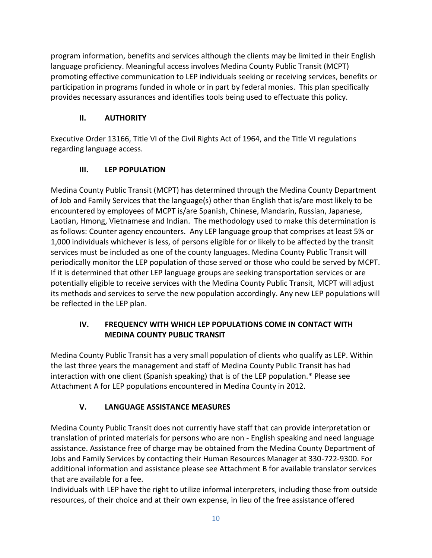program information, benefits and services although the clients may be limited in their English language proficiency. Meaningful access involves Medina County Public Transit (MCPT) promoting effective communication to LEP individuals seeking or receiving services, benefits or participation in programs funded in whole or in part by federal monies. This plan specifically provides necessary assurances and identifies tools being used to effectuate this policy.

# **II. AUTHORITY**

Executive Order 13166, Title VI of the Civil Rights Act of 1964, and the Title VI regulations regarding language access.

# **III. LEP POPULATION**

Medina County Public Transit (MCPT) has determined through the Medina County Department of Job and Family Services that the language(s) other than English that is/are most likely to be encountered by employees of MCPT is/are Spanish, Chinese, Mandarin, Russian, Japanese, Laotian, Hmong, Vietnamese and Indian. The methodology used to make this determination is as follows: Counter agency encounters. Any LEP language group that comprises at least 5% or 1,000 individuals whichever is less, of persons eligible for or likely to be affected by the transit services must be included as one of the county languages. Medina County Public Transit will periodically monitor the LEP population of those served or those who could be served by MCPT. If it is determined that other LEP language groups are seeking transportation services or are potentially eligible to receive services with the Medina County Public Transit, MCPT will adjust its methods and services to serve the new population accordingly. Any new LEP populations will be reflected in the LEP plan.

# **IV. FREQUENCY WITH WHICH LEP POPULATIONS COME IN CONTACT WITH MEDINA COUNTY PUBLIC TRANSIT**

Medina County Public Transit has a very small population of clients who qualify as LEP. Within the last three years the management and staff of Medina County Public Transit has had interaction with one client (Spanish speaking) that is of the LEP population.\* Please see Attachment A for LEP populations encountered in Medina County in 2012.

# **V. LANGUAGE ASSISTANCE MEASURES**

Medina County Public Transit does not currently have staff that can provide interpretation or translation of printed materials for persons who are non - English speaking and need language assistance. Assistance free of charge may be obtained from the Medina County Department of Jobs and Family Services by contacting their Human Resources Manager at 330-722-9300. For additional information and assistance please see Attachment B for available translator services that are available for a fee.

Individuals with LEP have the right to utilize informal interpreters, including those from outside resources, of their choice and at their own expense, in lieu of the free assistance offered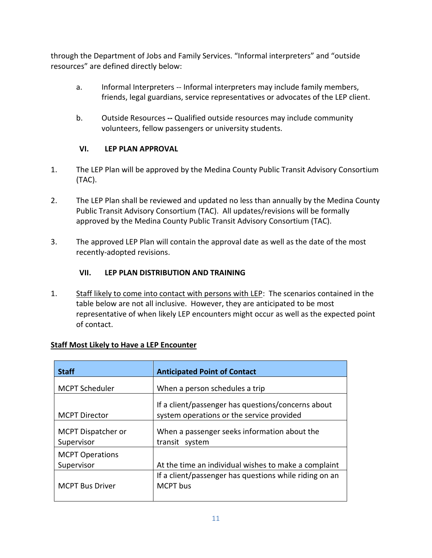through the Department of Jobs and Family Services. "Informal interpreters" and "outside resources" are defined directly below:

- a. Informal Interpreters -- Informal interpreters may include family members, friends, legal guardians, service representatives or advocates of the LEP client.
- b. Outside Resources **--** Qualified outside resources may include community volunteers, fellow passengers or university students.

# **VI. LEP PLAN APPROVAL**

- 1. The LEP Plan will be approved by the Medina County Public Transit Advisory Consortium (TAC).
- 2. The LEP Plan shall be reviewed and updated no less than annually by the Medina County Public Transit Advisory Consortium (TAC). All updates/revisions will be formally approved by the Medina County Public Transit Advisory Consortium (TAC).
- 3. The approved LEP Plan will contain the approval date as well as the date of the most recently-adopted revisions.

#### **VII. LEP PLAN DISTRIBUTION AND TRAINING**

1. Staff likely to come into contact with persons with LEP: The scenarios contained in the table below are not all inclusive. However, they are anticipated to be most representative of when likely LEP encounters might occur as well as the expected point of contact.

| <b>Staff</b>                         | <b>Anticipated Point of Contact</b>                                                             |
|--------------------------------------|-------------------------------------------------------------------------------------------------|
| <b>MCPT Scheduler</b>                | When a person schedules a trip                                                                  |
| <b>MCPT Director</b>                 | If a client/passenger has questions/concerns about<br>system operations or the service provided |
| MCPT Dispatcher or<br>Supervisor     | When a passenger seeks information about the<br>transit system                                  |
| <b>MCPT Operations</b><br>Supervisor | At the time an individual wishes to make a complaint                                            |
| <b>MCPT Bus Driver</b>               | If a client/passenger has questions while riding on an<br><b>MCPT</b> bus                       |

#### **Staff Most Likely to Have a LEP Encounter**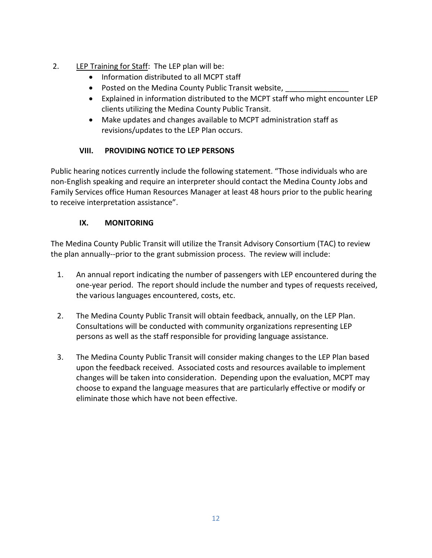- 2. LEP Training for Staff: The LEP plan will be:
	- Information distributed to all MCPT staff
	- Posted on the Medina County Public Transit website,
	- Explained in information distributed to the MCPT staff who might encounter LEP clients utilizing the Medina County Public Transit.
	- Make updates and changes available to MCPT administration staff as revisions/updates to the LEP Plan occurs.

# **VIII. PROVIDING NOTICE TO LEP PERSONS**

Public hearing notices currently include the following statement. "Those individuals who are non-English speaking and require an interpreter should contact the Medina County Jobs and Family Services office Human Resources Manager at least 48 hours prior to the public hearing to receive interpretation assistance".

# **IX. MONITORING**

The Medina County Public Transit will utilize the Transit Advisory Consortium (TAC) to review the plan annually--prior to the grant submission process. The review will include:

- 1. An annual report indicating the number of passengers with LEP encountered during the one-year period. The report should include the number and types of requests received, the various languages encountered, costs, etc.
- 2. The Medina County Public Transit will obtain feedback, annually, on the LEP Plan. Consultations will be conducted with community organizations representing LEP persons as well as the staff responsible for providing language assistance.
- 3. The Medina County Public Transit will consider making changes to the LEP Plan based upon the feedback received. Associated costs and resources available to implement changes will be taken into consideration. Depending upon the evaluation, MCPT may choose to expand the language measures that are particularly effective or modify or eliminate those which have not been effective.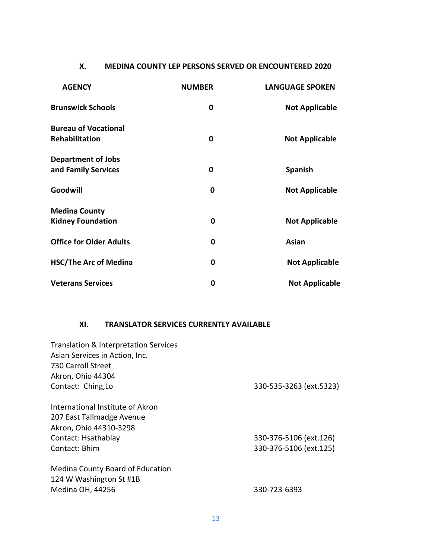#### **X. MEDINA COUNTY LEP PERSONS SERVED OR ENCOUNTERED 2020**

| <b>AGENCY</b>                                 | <b>NUMBER</b> | <b>LANGUAGE SPOKEN</b> |
|-----------------------------------------------|---------------|------------------------|
| <b>Brunswick Schools</b>                      | 0             | <b>Not Applicable</b>  |
| <b>Bureau of Vocational</b><br>Rehabilitation | 0             | <b>Not Applicable</b>  |
|                                               |               |                        |
| <b>Department of Jobs</b>                     |               |                        |
| and Family Services                           | 0             | <b>Spanish</b>         |
| Goodwill                                      | 0             | <b>Not Applicable</b>  |
| <b>Medina County</b>                          |               |                        |
| <b>Kidney Foundation</b>                      | 0             | <b>Not Applicable</b>  |
| <b>Office for Older Adults</b>                | 0             | Asian                  |
| <b>HSC/The Arc of Medina</b>                  | 0             | <b>Not Applicable</b>  |
| <b>Veterans Services</b>                      | 0             | <b>Not Applicable</b>  |

#### **XI. TRANSLATOR SERVICES CURRENTLY AVAILABLE**

| Translation & Interpretation Services                       |                         |
|-------------------------------------------------------------|-------------------------|
| Asian Services in Action, Inc.                              |                         |
| 730 Carroll Street                                          |                         |
| Akron, Ohio 44304                                           |                         |
| Contact: Ching, Lo                                          | 330-535-3263 (ext.5323) |
|                                                             |                         |
| International Institute of Akron                            |                         |
| 207 East Tallmadge Avenue                                   |                         |
| Akron, Ohio 44310-3298                                      |                         |
| Contact: Hsathablay                                         | 330-376-5106 (ext.126)  |
| Contact: Bhim                                               | 330-376-5106 (ext.125)  |
| Medina County Board of Education<br>124 W Washington St #1B |                         |
| Medina OH, 44256                                            | 330-723-6393            |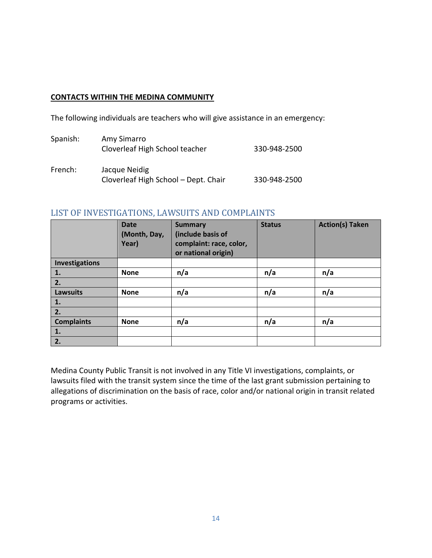#### **CONTACTS WITHIN THE MEDINA COMMUNITY**

The following individuals are teachers who will give assistance in an emergency:

| Spanish: | Amy Simarro<br>Cloverleaf High School teacher         | 330-948-2500 |
|----------|-------------------------------------------------------|--------------|
| French:  | Jacque Neidig<br>Cloverleaf High School - Dept. Chair | 330-948-2500 |

#### <span id="page-13-0"></span>LIST OF INVESTIGATIONS, LAWSUITS AND COMPLAINTS

|                   | <b>Date</b><br>(Month, Day,<br>Year) | <b>Summary</b><br>(include basis of<br>complaint: race, color,<br>or national origin) | <b>Status</b> | <b>Action(s) Taken</b> |
|-------------------|--------------------------------------|---------------------------------------------------------------------------------------|---------------|------------------------|
| Investigations    |                                      |                                                                                       |               |                        |
| 1.                | <b>None</b>                          | n/a                                                                                   | n/a           | n/a                    |
| 2.                |                                      |                                                                                       |               |                        |
| <b>Lawsuits</b>   | <b>None</b>                          | n/a                                                                                   | n/a           | n/a                    |
| 1.                |                                      |                                                                                       |               |                        |
| 2.                |                                      |                                                                                       |               |                        |
| <b>Complaints</b> | <b>None</b>                          | n/a                                                                                   | n/a           | n/a                    |
| 1.                |                                      |                                                                                       |               |                        |
| 2.                |                                      |                                                                                       |               |                        |

Medina County Public Transit is not involved in any Title VI investigations, complaints, or lawsuits filed with the transit system since the time of the last grant submission pertaining to allegations of discrimination on the basis of race, color and/or national origin in transit related programs or activities.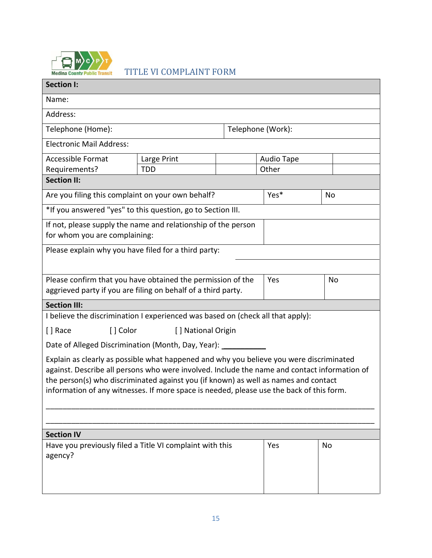<span id="page-14-0"></span>

TITLE VI COMPLAINT FORM

 $\blacksquare$ 

| <b>Section I:</b>                                                                                                                                                                       |                                  |  |      |    |
|-----------------------------------------------------------------------------------------------------------------------------------------------------------------------------------------|----------------------------------|--|------|----|
| Name:                                                                                                                                                                                   |                                  |  |      |    |
| Address:                                                                                                                                                                                |                                  |  |      |    |
| Telephone (Home):<br>Telephone (Work):                                                                                                                                                  |                                  |  |      |    |
| <b>Electronic Mail Address:</b>                                                                                                                                                         |                                  |  |      |    |
| <b>Accessible Format</b>                                                                                                                                                                | Large Print<br><b>Audio Tape</b> |  |      |    |
| Requirements?<br>Other<br><b>TDD</b>                                                                                                                                                    |                                  |  |      |    |
| <b>Section II:</b>                                                                                                                                                                      |                                  |  |      |    |
| Are you filing this complaint on your own behalf?                                                                                                                                       |                                  |  | Yes* | No |
| *If you answered "yes" to this question, go to Section III.                                                                                                                             |                                  |  |      |    |
| If not, please supply the name and relationship of the person                                                                                                                           |                                  |  |      |    |
| for whom you are complaining:                                                                                                                                                           |                                  |  |      |    |
| Please explain why you have filed for a third party:                                                                                                                                    |                                  |  |      |    |
|                                                                                                                                                                                         |                                  |  |      |    |
| Please confirm that you have obtained the permission of the<br>Yes<br>No                                                                                                                |                                  |  |      |    |
| aggrieved party if you are filing on behalf of a third party.                                                                                                                           |                                  |  |      |    |
| <b>Section III:</b>                                                                                                                                                                     |                                  |  |      |    |
| I believe the discrimination I experienced was based on (check all that apply):                                                                                                         |                                  |  |      |    |
| [] Race<br>[ ] Color<br>[] National Origin                                                                                                                                              |                                  |  |      |    |
| Date of Alleged Discrimination (Month, Day, Year): _                                                                                                                                    |                                  |  |      |    |
| Explain as clearly as possible what happened and why you believe you were discriminated<br>against. Describe all persons who were involved. Include the name and contact information of |                                  |  |      |    |
| the person(s) who discriminated against you (if known) as well as names and contact<br>information of any witnesses. If more space is needed, please use the back of this form.         |                                  |  |      |    |
|                                                                                                                                                                                         |                                  |  |      |    |
|                                                                                                                                                                                         |                                  |  |      |    |
| <b>Section IV</b>                                                                                                                                                                       |                                  |  |      |    |
| Have you previously filed a Title VI complaint with this<br>Yes<br>No<br>agency?                                                                                                        |                                  |  |      |    |
|                                                                                                                                                                                         |                                  |  |      |    |
|                                                                                                                                                                                         |                                  |  |      |    |
|                                                                                                                                                                                         |                                  |  |      |    |